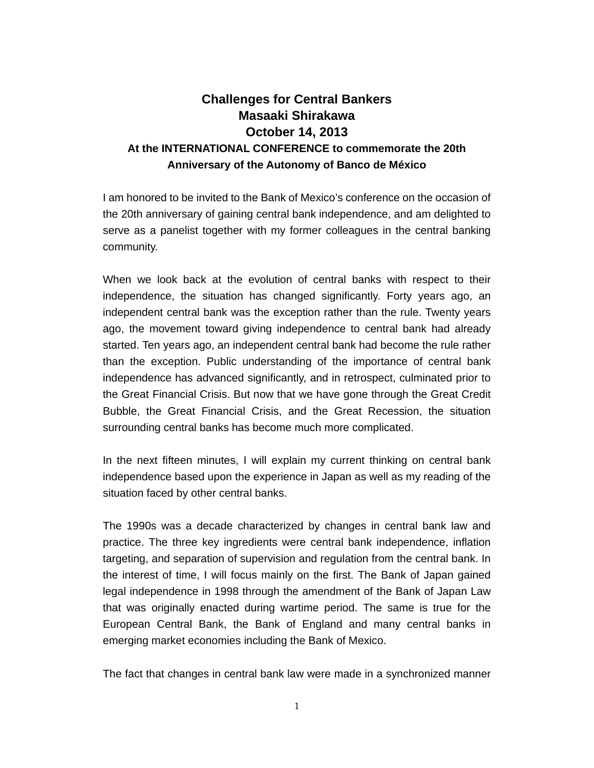## **Challenges for Central Bankers Masaaki Shirakawa October 14, 2013 At the INTERNATIONAL CONFERENCE to commemorate the 20th Anniversary of the Autonomy of Banco de México**

I am honored to be invited to the Bank of Mexico's conference on the occasion of the 20th anniversary of gaining central bank independence, and am delighted to serve as a panelist together with my former colleagues in the central banking community.

When we look back at the evolution of central banks with respect to their independence, the situation has changed significantly. Forty years ago, an independent central bank was the exception rather than the rule. Twenty years ago, the movement toward giving independence to central bank had already started. Ten years ago, an independent central bank had become the rule rather than the exception. Public understanding of the importance of central bank independence has advanced significantly, and in retrospect, culminated prior to the Great Financial Crisis. But now that we have gone through the Great Credit Bubble, the Great Financial Crisis, and the Great Recession, the situation surrounding central banks has become much more complicated.

In the next fifteen minutes, I will explain my current thinking on central bank independence based upon the experience in Japan as well as my reading of the situation faced by other central banks.

The 1990s was a decade characterized by changes in central bank law and practice. The three key ingredients were central bank independence, inflation targeting, and separation of supervision and regulation from the central bank. In the interest of time, I will focus mainly on the first. The Bank of Japan gained legal independence in 1998 through the amendment of the Bank of Japan Law that was originally enacted during wartime period. The same is true for the European Central Bank, the Bank of England and many central banks in emerging market economies including the Bank of Mexico.

The fact that changes in central bank law were made in a synchronized manner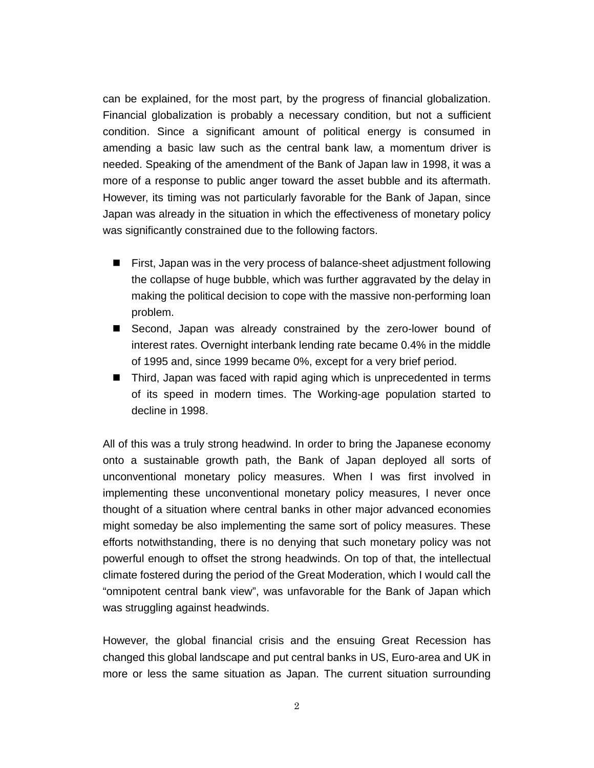can be explained, for the most part, by the progress of financial globalization. Financial globalization is probably a necessary condition, but not a sufficient condition. Since a significant amount of political energy is consumed in amending a basic law such as the central bank law, a momentum driver is needed. Speaking of the amendment of the Bank of Japan law in 1998, it was a more of a response to public anger toward the asset bubble and its aftermath. However, its timing was not particularly favorable for the Bank of Japan, since Japan was already in the situation in which the effectiveness of monetary policy was significantly constrained due to the following factors.

- First, Japan was in the very process of balance-sheet adjustment following the collapse of huge bubble, which was further aggravated by the delay in making the political decision to cope with the massive non-performing loan problem.
- Second, Japan was already constrained by the zero-lower bound of interest rates. Overnight interbank lending rate became 0.4% in the middle of 1995 and, since 1999 became 0%, except for a very brief period.
- Third, Japan was faced with rapid aging which is unprecedented in terms of its speed in modern times. The Working-age population started to decline in 1998.

All of this was a truly strong headwind. In order to bring the Japanese economy onto a sustainable growth path, the Bank of Japan deployed all sorts of unconventional monetary policy measures. When I was first involved in implementing these unconventional monetary policy measures, I never once thought of a situation where central banks in other major advanced economies might someday be also implementing the same sort of policy measures. These efforts notwithstanding, there is no denying that such monetary policy was not powerful enough to offset the strong headwinds. On top of that, the intellectual climate fostered during the period of the Great Moderation, which I would call the "omnipotent central bank view", was unfavorable for the Bank of Japan which was struggling against headwinds.

However, the global financial crisis and the ensuing Great Recession has changed this global landscape and put central banks in US, Euro-area and UK in more or less the same situation as Japan. The current situation surrounding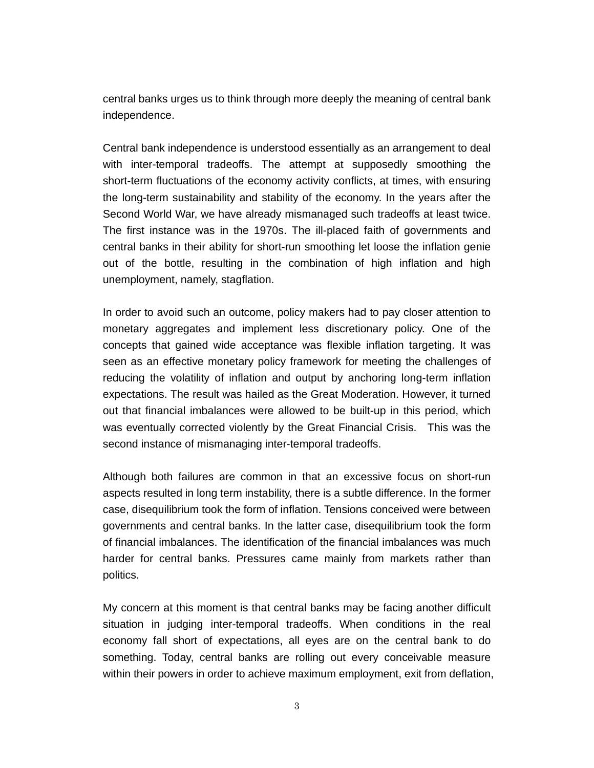central banks urges us to think through more deeply the meaning of central bank independence.

Central bank independence is understood essentially as an arrangement to deal with inter-temporal tradeoffs. The attempt at supposedly smoothing the short-term fluctuations of the economy activity conflicts, at times, with ensuring the long-term sustainability and stability of the economy. In the years after the Second World War, we have already mismanaged such tradeoffs at least twice. The first instance was in the 1970s. The ill-placed faith of governments and central banks in their ability for short-run smoothing let loose the inflation genie out of the bottle, resulting in the combination of high inflation and high unemployment, namely, stagflation.

In order to avoid such an outcome, policy makers had to pay closer attention to monetary aggregates and implement less discretionary policy. One of the concepts that gained wide acceptance was flexible inflation targeting. It was seen as an effective monetary policy framework for meeting the challenges of reducing the volatility of inflation and output by anchoring long-term inflation expectations. The result was hailed as the Great Moderation. However, it turned out that financial imbalances were allowed to be built-up in this period, which was eventually corrected violently by the Great Financial Crisis. This was the second instance of mismanaging inter-temporal tradeoffs.

Although both failures are common in that an excessive focus on short-run aspects resulted in long term instability, there is a subtle difference. In the former case, disequilibrium took the form of inflation. Tensions conceived were between governments and central banks. In the latter case, disequilibrium took the form of financial imbalances. The identification of the financial imbalances was much harder for central banks. Pressures came mainly from markets rather than politics.

My concern at this moment is that central banks may be facing another difficult situation in judging inter-temporal tradeoffs. When conditions in the real economy fall short of expectations, all eyes are on the central bank to do something. Today, central banks are rolling out every conceivable measure within their powers in order to achieve maximum employment, exit from deflation,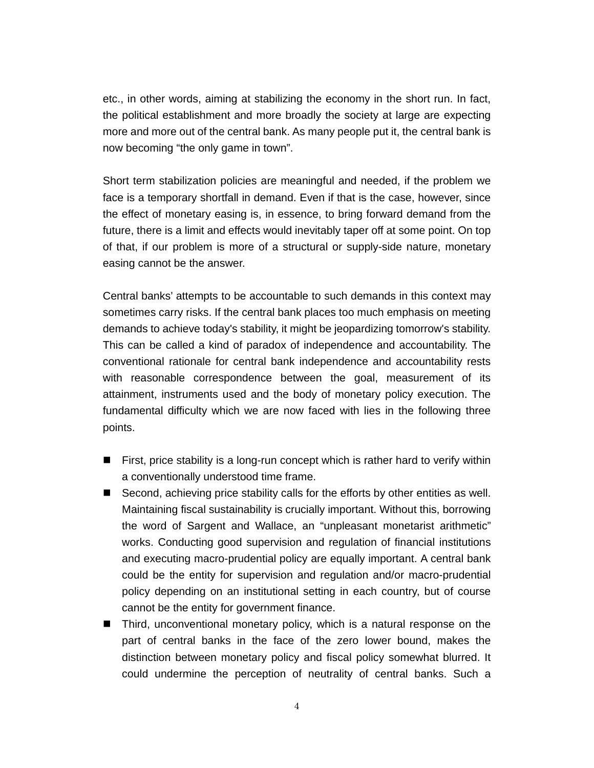etc., in other words, aiming at stabilizing the economy in the short run. In fact, the political establishment and more broadly the society at large are expecting more and more out of the central bank. As many people put it, the central bank is now becoming "the only game in town".

Short term stabilization policies are meaningful and needed, if the problem we face is a temporary shortfall in demand. Even if that is the case, however, since the effect of monetary easing is, in essence, to bring forward demand from the future, there is a limit and effects would inevitably taper off at some point. On top of that, if our problem is more of a structural or supply-side nature, monetary easing cannot be the answer.

Central banks' attempts to be accountable to such demands in this context may sometimes carry risks. If the central bank places too much emphasis on meeting demands to achieve today's stability, it might be jeopardizing tomorrow's stability. This can be called a kind of paradox of independence and accountability. The conventional rationale for central bank independence and accountability rests with reasonable correspondence between the goal, measurement of its attainment, instruments used and the body of monetary policy execution. The fundamental difficulty which we are now faced with lies in the following three points.

- $\blacksquare$  First, price stability is a long-run concept which is rather hard to verify within a conventionally understood time frame.
- Second, achieving price stability calls for the efforts by other entities as well. Maintaining fiscal sustainability is crucially important. Without this, borrowing the word of Sargent and Wallace, an "unpleasant monetarist arithmetic" works. Conducting good supervision and regulation of financial institutions and executing macro-prudential policy are equally important. A central bank could be the entity for supervision and regulation and/or macro-prudential policy depending on an institutional setting in each country, but of course cannot be the entity for government finance.
- Third, unconventional monetary policy, which is a natural response on the part of central banks in the face of the zero lower bound, makes the distinction between monetary policy and fiscal policy somewhat blurred. It could undermine the perception of neutrality of central banks. Such a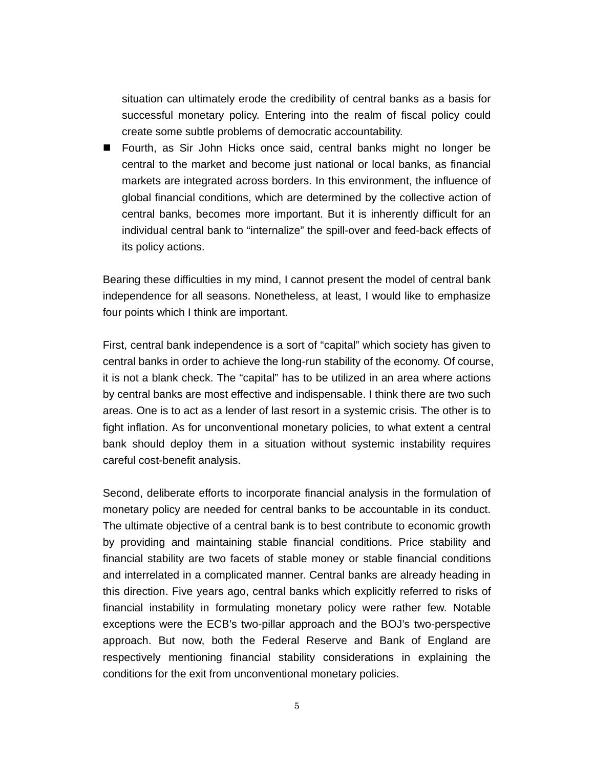situation can ultimately erode the credibility of central banks as a basis for successful monetary policy. Entering into the realm of fiscal policy could create some subtle problems of democratic accountability.

■ Fourth, as Sir John Hicks once said, central banks might no longer be central to the market and become just national or local banks, as financial markets are integrated across borders. In this environment, the influence of global financial conditions, which are determined by the collective action of central banks, becomes more important. But it is inherently difficult for an individual central bank to "internalize" the spill-over and feed-back effects of its policy actions.

Bearing these difficulties in my mind, I cannot present the model of central bank independence for all seasons. Nonetheless, at least, I would like to emphasize four points which I think are important.

First, central bank independence is a sort of "capital" which society has given to central banks in order to achieve the long-run stability of the economy. Of course, it is not a blank check. The "capital" has to be utilized in an area where actions by central banks are most effective and indispensable. I think there are two such areas. One is to act as a lender of last resort in a systemic crisis. The other is to fight inflation. As for unconventional monetary policies, to what extent a central bank should deploy them in a situation without systemic instability requires careful cost-benefit analysis.

Second, deliberate efforts to incorporate financial analysis in the formulation of monetary policy are needed for central banks to be accountable in its conduct. The ultimate objective of a central bank is to best contribute to economic growth by providing and maintaining stable financial conditions. Price stability and financial stability are two facets of stable money or stable financial conditions and interrelated in a complicated manner. Central banks are already heading in this direction. Five years ago, central banks which explicitly referred to risks of financial instability in formulating monetary policy were rather few. Notable exceptions were the ECB's two-pillar approach and the BOJ's two-perspective approach. But now, both the Federal Reserve and Bank of England are respectively mentioning financial stability considerations in explaining the conditions for the exit from unconventional monetary policies.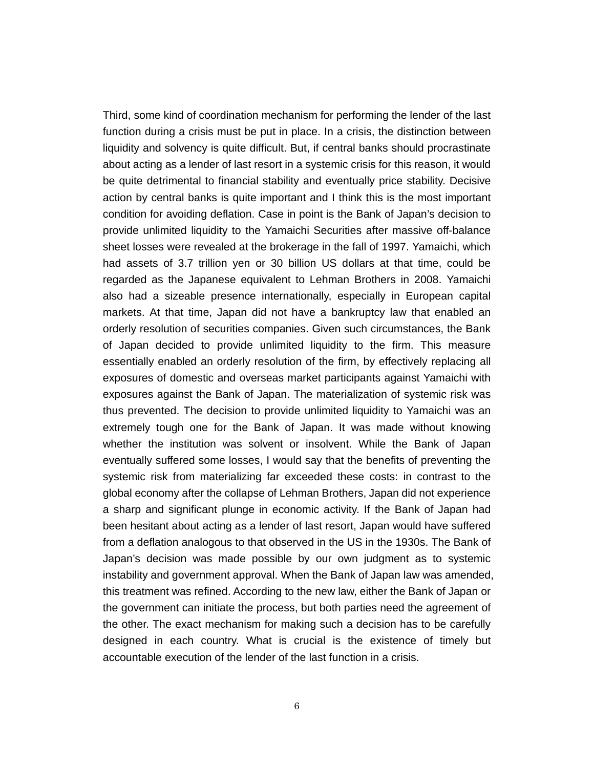Third, some kind of coordination mechanism for performing the lender of the last function during a crisis must be put in place. In a crisis, the distinction between liquidity and solvency is quite difficult. But, if central banks should procrastinate about acting as a lender of last resort in a systemic crisis for this reason, it would be quite detrimental to financial stability and eventually price stability. Decisive action by central banks is quite important and I think this is the most important condition for avoiding deflation. Case in point is the Bank of Japan's decision to provide unlimited liquidity to the Yamaichi Securities after massive off-balance sheet losses were revealed at the brokerage in the fall of 1997. Yamaichi, which had assets of 3.7 trillion yen or 30 billion US dollars at that time, could be regarded as the Japanese equivalent to Lehman Brothers in 2008. Yamaichi also had a sizeable presence internationally, especially in European capital markets. At that time, Japan did not have a bankruptcy law that enabled an orderly resolution of securities companies. Given such circumstances, the Bank of Japan decided to provide unlimited liquidity to the firm. This measure essentially enabled an orderly resolution of the firm, by effectively replacing all exposures of domestic and overseas market participants against Yamaichi with exposures against the Bank of Japan. The materialization of systemic risk was thus prevented. The decision to provide unlimited liquidity to Yamaichi was an extremely tough one for the Bank of Japan. It was made without knowing whether the institution was solvent or insolvent. While the Bank of Japan eventually suffered some losses, I would say that the benefits of preventing the systemic risk from materializing far exceeded these costs: in contrast to the global economy after the collapse of Lehman Brothers, Japan did not experience a sharp and significant plunge in economic activity. If the Bank of Japan had been hesitant about acting as a lender of last resort, Japan would have suffered from a deflation analogous to that observed in the US in the 1930s. The Bank of Japan's decision was made possible by our own judgment as to systemic instability and government approval. When the Bank of Japan law was amended, this treatment was refined. According to the new law, either the Bank of Japan or the government can initiate the process, but both parties need the agreement of the other. The exact mechanism for making such a decision has to be carefully designed in each country. What is crucial is the existence of timely but accountable execution of the lender of the last function in a crisis.